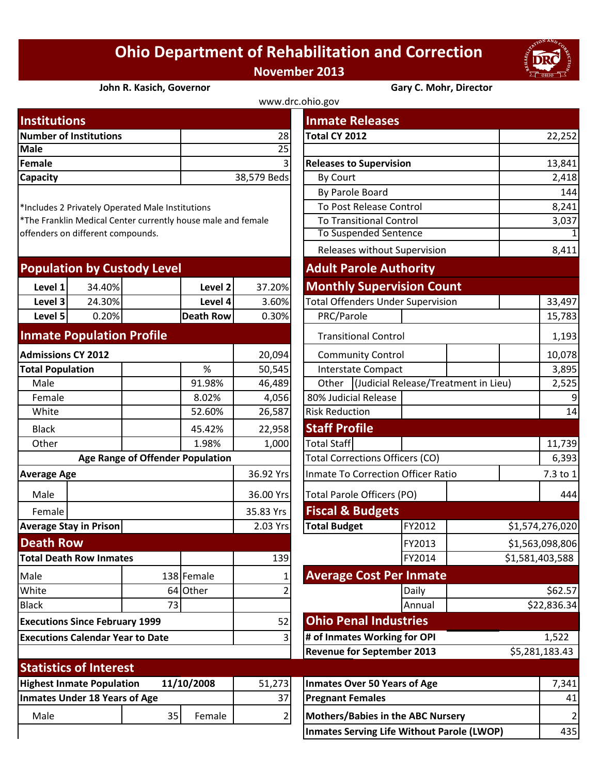## **Ohio Department of Rehabilitation and Correction November 2013**



## **John R. Kasich, Governor Gary C. Mohr, Director**

| www.drc.ohio.gov              |             |                                |        |  |  |  |
|-------------------------------|-------------|--------------------------------|--------|--|--|--|
| <b>Institutions</b>           |             | <b>Inmate Releases</b>         |        |  |  |  |
| <b>Number of Institutions</b> | 28          | Total CY 2012                  | 22,252 |  |  |  |
| <b>Male</b>                   | 25I         |                                |        |  |  |  |
| Female                        | 3I          | <b>Releases to Supervision</b> | 13,841 |  |  |  |
| <b>Capacity</b>               | 38,579 Beds | By Court                       | 2,418  |  |  |  |
|                               |             |                                |        |  |  |  |

| <b>Population by Custody Level</b> |        |           | <b>Adult Parole Authority</b> |                                          |  |  |
|------------------------------------|--------|-----------|-------------------------------|------------------------------------------|--|--|
| Level 1                            | 34.40% | Level 2   | 37.20%                        | <b>Monthly Supervision Count</b>         |  |  |
| Level 3                            | 24.30% | Level 4   | 3.60%                         | <b>Total Offenders Under Supervision</b> |  |  |
| Level 5                            | 0.20%  | Death Row | 0.30%                         | PRC/Parole                               |  |  |
|                                    |        |           |                               |                                          |  |  |

## **Inmate Population Profile**

| <b>Admissions CY 2012</b>                      |                               |    | 20,094     |           | <b>Community Control</b>                  |                                          |        |  |  |
|------------------------------------------------|-------------------------------|----|------------|-----------|-------------------------------------------|------------------------------------------|--------|--|--|
| <b>Total Population</b>                        |                               |    | %          | 50,545    | <b>Interstate Compact</b>                 |                                          |        |  |  |
| Male                                           |                               |    | 91.98%     | 46,489    |                                           | <b>Judicial Release/Treatme</b><br>Other |        |  |  |
| Female                                         |                               |    | 8.02%      | 4,056     |                                           | 80% Judicial Release                     |        |  |  |
| White                                          |                               |    | 52.60%     | 26,587    |                                           | <b>Risk Reduction</b>                    |        |  |  |
| <b>Black</b>                                   |                               |    | 45.42%     | 22,958    |                                           | <b>Staff Profile</b>                     |        |  |  |
| Other                                          |                               |    | 1.98%      | 1,000     | <b>Total Staff</b>                        |                                          |        |  |  |
| <b>Age Range of Offender Population</b>        |                               |    |            |           |                                           | <b>Total Corrections Officers (CO)</b>   |        |  |  |
| <b>Average Age</b>                             |                               |    | 36.92 Yrs  |           | <b>Inmate To Correction Officer Ratio</b> |                                          |        |  |  |
| Male                                           |                               |    |            | 36.00 Yrs |                                           | <b>Total Parole Officers (PO)</b>        |        |  |  |
| Female                                         |                               |    |            | 35.83 Yrs |                                           | <b>Fiscal &amp; Budgets</b>              |        |  |  |
|                                                | <b>Average Stay in Prison</b> |    |            | 2.03 Yrs  |                                           | <b>Total Budget</b>                      | FY2012 |  |  |
| <b>Death Row</b>                               |                               |    |            |           |                                           |                                          | FY2013 |  |  |
| <b>Total Death Row Inmates</b>                 |                               |    | 139        |           |                                           | FY2014                                   |        |  |  |
| Male                                           |                               |    | 138 Female |           | <b>Average Cost Per Inmate</b>            |                                          |        |  |  |
| White                                          |                               |    | 64 Other   |           |                                           |                                          | Daily  |  |  |
| <b>Black</b>                                   |                               | 73 |            |           |                                           |                                          | Annual |  |  |
| <b>Executions Since February 1999</b>          |                               |    |            | 52        |                                           | <b>Ohio Penal Industries</b>             |        |  |  |
| <b>Executions Calendar Year to Date</b>        |                               |    | 3          |           | # of Inmates Working for OPI              |                                          |        |  |  |
|                                                |                               |    |            |           |                                           | <b>Revenue for September 2013</b>        |        |  |  |
|                                                | <b>Statistics of Interest</b> |    |            |           |                                           |                                          |        |  |  |
| <b>Highest Inmate Population</b><br>11/10/2008 |                               |    | 51,273     |           | <b>Inmates Over 50 Years of Age</b>       |                                          |        |  |  |
| <b>Inmates Under 18 Years of Age</b>           |                               |    | 37         |           | <b>Pregnant Females</b>                   |                                          |        |  |  |
| Male                                           |                               | 35 | Female     | 2         | <b>Mothers/Babies in the ABC Nursery</b>  |                                          |        |  |  |
|                                                |                               |    |            |           |                                           |                                          |        |  |  |

| <b>Institutions</b>                              |        |                                  |                                                              |                                   | <b>Inmate Releases</b>                            |                                      |                |                 |  |
|--------------------------------------------------|--------|----------------------------------|--------------------------------------------------------------|-----------------------------------|---------------------------------------------------|--------------------------------------|----------------|-----------------|--|
| <b>Number of Institutions</b>                    |        |                                  |                                                              | 28                                | <b>Total CY 2012</b>                              |                                      |                | 22,252          |  |
| <b>Male</b>                                      |        |                                  |                                                              | 25                                |                                                   |                                      |                |                 |  |
| <b>Female</b>                                    |        |                                  |                                                              | $\overline{3}$                    | <b>Releases to Supervision</b>                    |                                      |                | 13,841          |  |
| Capacity                                         |        |                                  |                                                              | 38,579 Beds                       | By Court                                          |                                      |                | 2,418           |  |
|                                                  |        |                                  |                                                              | By Parole Board                   |                                                   |                                      | 144            |                 |  |
| *Includes 2 Privately Operated Male Institutions |        |                                  |                                                              |                                   | To Post Release Control                           |                                      | 8,241          |                 |  |
|                                                  |        |                                  | *The Franklin Medical Center currently house male and female |                                   | <b>To Transitional Control</b>                    |                                      |                | 3,037           |  |
| offenders on different compounds.                |        |                                  |                                                              |                                   | <b>To Suspended Sentence</b>                      |                                      |                | $\overline{1}$  |  |
|                                                  |        |                                  |                                                              |                                   | Releases without Supervision                      |                                      |                | 8,411           |  |
| <b>Population by Custody Level</b>               |        |                                  |                                                              |                                   | <b>Adult Parole Authority</b>                     |                                      |                |                 |  |
| Level 1                                          | 34.40% |                                  | Level 2                                                      | 37.20%                            | <b>Monthly Supervision Count</b>                  |                                      |                |                 |  |
| Level 3                                          | 24.30% |                                  | Level 4                                                      | 3.60%                             | <b>Total Offenders Under Supervision</b>          |                                      |                | 33,497          |  |
| Level 5                                          | 0.20%  |                                  | <b>Death Row</b>                                             | 0.30%                             | PRC/Parole                                        |                                      |                | 15,783          |  |
| <b>Inmate Population Profile</b>                 |        |                                  |                                                              |                                   |                                                   | <b>Transitional Control</b>          |                |                 |  |
| <b>Admissions CY 2012</b>                        |        |                                  |                                                              | 20,094                            |                                                   | <b>Community Control</b>             |                |                 |  |
| <b>Total Population</b>                          |        |                                  | %                                                            | 50,545                            | <b>Interstate Compact</b>                         |                                      |                | 10,078<br>3,895 |  |
| Male                                             |        |                                  | 91.98%                                                       | 46,489                            | Other                                             | (Judicial Release/Treatment in Lieu) | 2,525          |                 |  |
| Female                                           |        |                                  | 8.02%                                                        | 4,056                             | 80% Judicial Release                              |                                      | 9              |                 |  |
| White                                            |        |                                  | 52.60%                                                       | 26,587                            | <b>Risk Reduction</b>                             |                                      |                | 14              |  |
| <b>Black</b>                                     |        |                                  | 45.42%                                                       | 22,958                            | <b>Staff Profile</b>                              |                                      |                |                 |  |
| Other                                            |        |                                  | 1.98%                                                        | 1,000                             | Total Staff                                       |                                      |                | 11,739          |  |
|                                                  |        | Age Range of Offender Population |                                                              |                                   | <b>Total Corrections Officers (CO)</b>            |                                      |                | 6,393           |  |
| <b>Average Age</b>                               |        |                                  |                                                              | 36.92 Yrs                         | Inmate To Correction Officer Ratio                |                                      |                | 7.3 to 1        |  |
| Male                                             |        |                                  | 36.00 Yrs                                                    | Total Parole Officers (PO)        |                                                   |                                      | 444            |                 |  |
| Female                                           |        |                                  |                                                              | 35.83 Yrs                         | <b>Fiscal &amp; Budgets</b>                       |                                      |                |                 |  |
| <b>Average Stay in Prison</b>                    |        |                                  |                                                              | 2.03 Yrs                          | <b>Total Budget</b>                               | FY2012                               |                | \$1,574,276,020 |  |
| <b>Death Row</b>                                 |        |                                  |                                                              |                                   |                                                   | FY2013                               |                | \$1,563,098,806 |  |
| <b>Total Death Row Inmates</b>                   |        |                                  |                                                              | 139                               |                                                   | FY2014                               |                | \$1,581,403,588 |  |
| Male                                             |        |                                  | 138 Female                                                   |                                   | <b>Average Cost Per Inmate</b>                    |                                      |                |                 |  |
| White                                            |        |                                  | 64 Other                                                     | 2                                 |                                                   | Daily                                |                | \$62.57         |  |
| <b>Black</b>                                     |        | 73                               |                                                              |                                   |                                                   | Annual                               |                | \$22,836.34     |  |
| <b>Executions Since February 1999</b>            |        |                                  |                                                              | 52                                | <b>Ohio Penal Industries</b>                      |                                      |                |                 |  |
| <b>Executions Calendar Year to Date</b><br>3     |        |                                  |                                                              | # of Inmates Working for OPI      |                                                   |                                      | 1,522          |                 |  |
|                                                  |        |                                  |                                                              | <b>Revenue for September 2013</b> |                                                   |                                      | \$5,281,183.43 |                 |  |
| <b>Statistics of Interest</b>                    |        |                                  |                                                              |                                   |                                                   |                                      |                |                 |  |
| <b>Highest Inmate Population</b>                 |        |                                  | 11/10/2008                                                   | 51,273                            | <b>Inmates Over 50 Years of Age</b>               |                                      |                | 7,341           |  |
| <b>Inmates Under 18 Years of Age</b>             |        |                                  |                                                              | 37                                | <b>Pregnant Females</b>                           |                                      |                | 41              |  |
| Male                                             |        | 35                               | Female                                                       | $\mathbf{2}$                      | <b>Mothers/Babies in the ABC Nursery</b>          |                                      |                | $\overline{2}$  |  |
|                                                  |        |                                  |                                                              |                                   | <b>Inmates Serving Life Without Parole (LWOP)</b> |                                      |                |                 |  |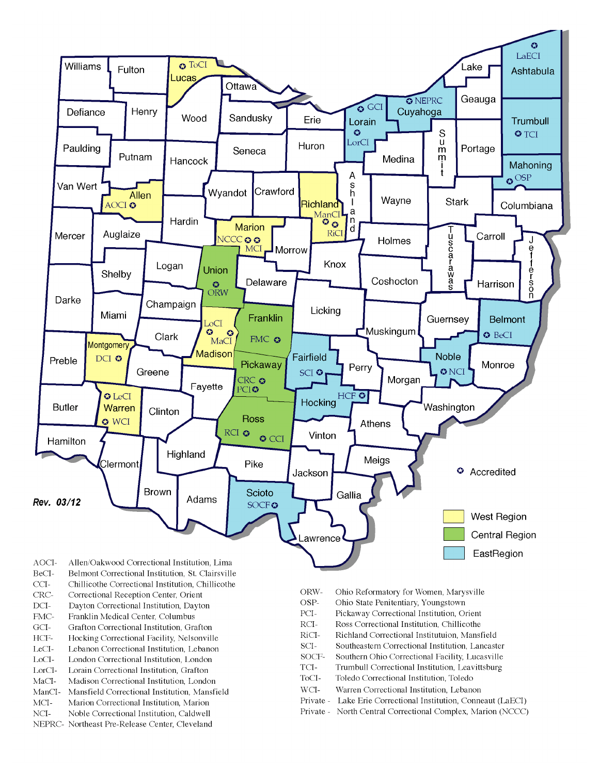

- BeCI-Belmont Correctional Institution, St. Clairsville
- $CCI-$ Chillicothe Correctional Institution, Chillicothe
- Correctional Reception Center, Orient CRC-
- $DCI-$ Dayton Correctional Institution, Dayton
- FMC-Franklin Medical Center, Columbus
- $\rm{GCI}\mbox{-}$ Grafton Correctional Institution, Grafton
- HCF-Hocking Correctional Facility, Nelsonville
- LeCI-Lebanon Correctional Institution, Lebanon
- LoCI-London Correctional Institution. London
- $\operatorname{LorCl-}$ Lorain Correctional Institution, Grafton
- $MaCI-$ Madison Correctional Institution, London
- ManCI-Mansfield Correctional Institution, Mansfield MCI-Marion Correctional Institution, Marion
- Noble Correctional Institution, Caldwell
- NCI-NEPRC- Northeast Pre-Release Center, Cleveland
- ORW-Ohio Reformatory for Women, Marysville
- OSP-Ohio State Penitentiary, Youngstown
- PCI-Pickaway Correctional Institution, Orient
- $\rm RCI-$ Ross Correctional Institution, Chillicothe
- RiCI-Richland Correctional Institutuion, Mansfield
- SCI-Southeastern Correctional Institution, Lancaster
- SOCF-Southern Ohio Correctional Facility, Lucasville
- TCI-Trumbull Correctional Institution, Leavittsburg
- ToCI-Toledo Correctional Institution, Toledo
- $WCI-$ Warren Correctional Institution, Lebanon
- Private Lake Erie Correctional Institution, Conneaut (LaECI)
- Private North Central Correctional Complex, Marion (NCCC)